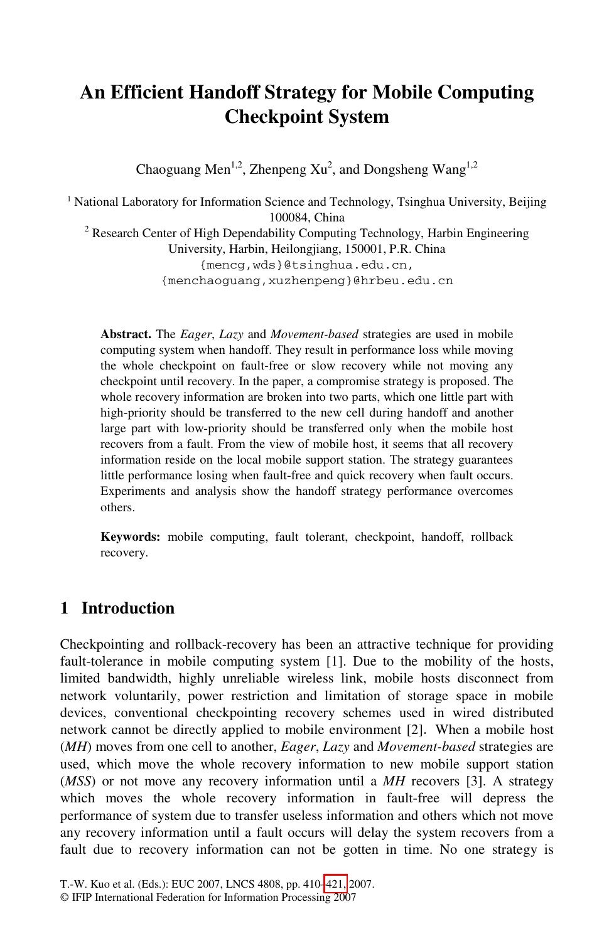# **An Efficient Handoff Strategy for Mobile Computing Checkpoint System**

Chaoguang Men<sup>1,2</sup>, Zhenpeng  $Xu<sup>2</sup>$ , and Dongsheng Wang<sup>1,2</sup>

<sup>1</sup> National Laboratory for Information Science and Technology, Tsinghua University, Beijing 100084, China<br><sup>2</sup> Research Center of High Dependability Computing Technology, Harbin Engineering

University, Harbin, Heilongjiang, 150001, P.R. China {mencg,wds}@tsinghua.edu.cn, {menchaoguang,xuzhenpeng}@hrbeu.edu.cn

**Abstract.** The *Eager*, *Lazy* and *Movement-based* strategies are used in mobile computing system when handoff. They result in performance loss while moving the whole checkpoint on fault-free or slow recovery while not moving any checkpoint until recovery. In the paper, a compromise strategy is proposed. The whole recovery information are broken into two parts, which one little part with high-priority should be transferred to the new cell during handoff and another large part with low-priority should be transferred only when the mobile host recovers from a fault. From the view of mobile host, it seems that all recovery information reside on the local mobile support station. The strategy guarantees little performance losing when fault-free and quick recovery when fault occurs. Experiments and analysis show the handoff strategy performance overcomes others.

**Keywords:** mobile computing, fault tolerant, checkpoint, handoff, rollback recovery.

### **1 Introduction**

Checkpointing and rollback-recovery has been an attractive technique for providing fault-tolerance in mobile computing system [1]. Due to the mobility of the hosts, limited bandwidth, highly unreliable wireless link, mobile hosts disconnect from network voluntarily, power restriction and limitation of storage space in mobile devices, conventional checkpointing recovery schemes used in wired distributed network cannot be directly applied to mobile environment [2]. When a mobile host (*MH*) moves from one ce[ll to](#page-11-0) another, *Eager*, *Lazy* and *Movement-based* strategies are used, which move the whole recovery information to new mobile support station (*MSS*) or not move any recovery information until a *MH* recovers [3]. A strategy which moves the whole recovery information in fault-free will depress the performance of system due to transfer useless information and others which not move any recovery information until a fault occurs will delay the system recovers from a fault due to recovery information can not be gotten in time. No one strategy is

T.-W. Kuo et al. (Eds.): EUC 2007, LNCS 4808, pp. 410–421, 2007.

<sup>©</sup> IFIP International Federation for Information Processing 2007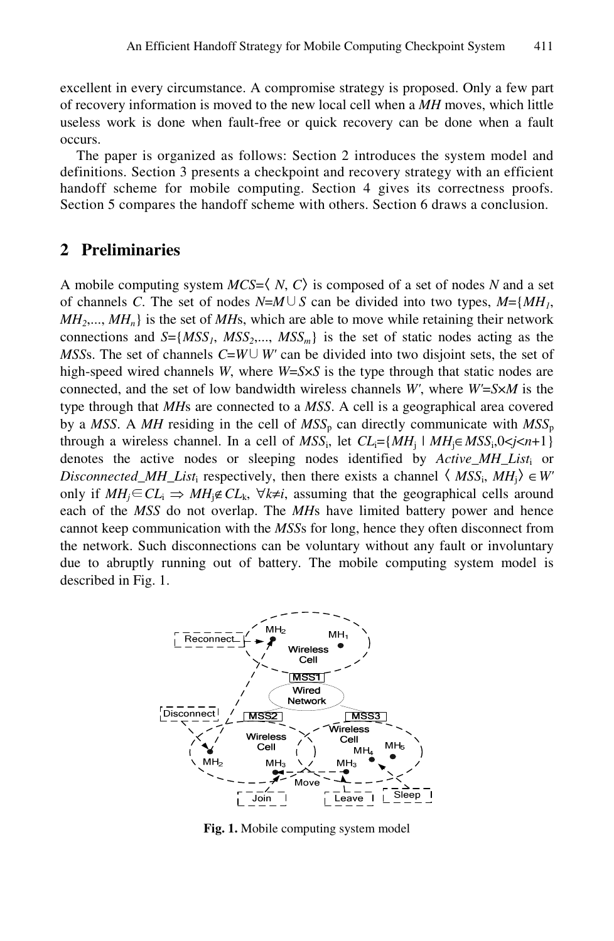excellent in every circumstance. A compromise strategy is proposed. Only a few part of recovery information is moved to the new local cell when a *MH* moves, which little useless work is done when fault-free or quick recovery can be done when a fault occurs.

The paper is organized as follows: Section 2 introduces the system model and definitions. Section 3 presents a checkpoint and recovery strategy with an efficient handoff scheme for mobile computing. Section 4 gives its correctness proofs. Section 5 compares the handoff scheme with others. Section 6 draws a conclusion.

### **2 Preliminaries**

A mobile computing system *MCS*=〈 *<sup>N</sup>*, *C*〉 is composed of a set of nodes *N* and a set of channels *C*. The set of nodes  $N=M\cup S$  can be divided into two types,  $M=\{MH_1,$  $MH_2, ..., MH_n$  is the set of *MHs*, which are able to move while retaining their network connections and  $S = \{MSS_1, MSS_2, \ldots, MSS_m\}$  is the set of static nodes acting as the *MSSs*. The set of channels *C*=*W*∪*W'* can be divided into two disjoint sets, the set of high-speed wired channels *W*, where *W*=*S*×*S* is the type through that static nodes are connected, and the set of low bandwidth wireless channels *W'*, where *W'*=*S*×*M* is the type through that *MH*s are connected to a *MSS*. A cell is a geographical area covered by a *MSS*. A *MH* residing in the cell of  $MSS_p$  can directly communicate with  $MSS_p$ through a wireless channel. In a cell of  $MSS_i$ , let  $CL_i = \{MH_i \mid MH_i \in MSS_i, 0 \leq j \leq n+1\}$ denotes the active nodes or sleeping nodes identified by *Active\_MH\_List*<sub>i</sub> or *Disconnected\_MH\_List<sub>i</sub>* respectively, then there exists a channel  $\langle MSS_i, MH_i \rangle \in W'$ only if  $MH<sub>j</sub>∈ CL<sub>i</sub> ⇒ MH<sub>j</sub>∈ CL<sub>k</sub>, ∀k≠*i*, assuming that the geographical cells around$ each of the *MSS* do not overlap. The *MH*s have limited battery power and hence cannot keep communication with the *MSS*s for long, hence they often disconnect from the network. Such disconnections can be voluntary without any fault or involuntary due to abruptly running out of battery. The mobile computing system model is described in Fig. 1.



**Fig. 1.** Mobile computing system model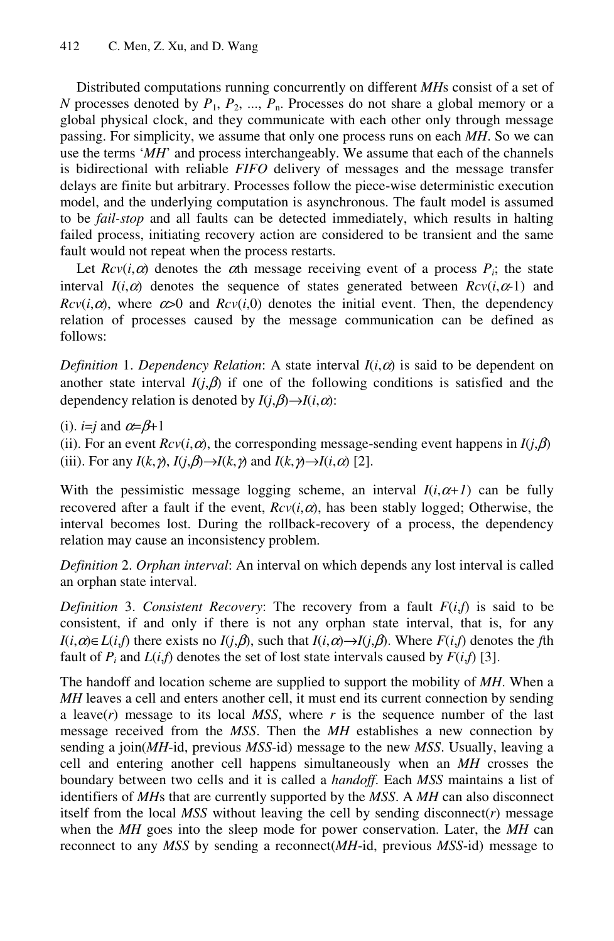Distributed computations running concurrently on different *MH*s consist of a set of *N* processes denoted by  $P_1$ ,  $P_2$ , ...,  $P_n$ . Processes do not share a global memory or a global physical clock, and they communicate with each other only through message passing. For simplicity, we assume that only one process runs on each *MH*. So we can use the terms '*MH*' and process interchangeably. We assume that each of the channels is bidirectional with reliable *FIFO* delivery of messages and the message transfer delays are finite but arbitrary. Processes follow the piece-wise deterministic execution model, and the underlying computation is asynchronous. The fault model is assumed to be *fail-stop* and all faults can be detected immediately, which results in halting failed process, initiating recovery action are considered to be transient and the same fault would not repeat when the process restarts.

Let  $Rcv(i, \alpha)$  denotes the  $\alpha$ th message receiving event of a process  $P_i$ ; the state interval  $I(i, \alpha)$  denotes the sequence of states generated between  $Rcv(i, \alpha-1)$  and  $Rcv(i, \alpha)$ , where  $\alpha > 0$  and  $Rcv(i, 0)$  denotes the initial event. Then, the dependency relation of processes caused by the message communication can be defined as follows:

*Definition* 1. *Dependency Relation*: A state interval  $I(i, \alpha)$  is said to be dependent on another state interval  $I(i,\beta)$  if one of the following conditions is satisfied and the dependency relation is denoted by  $I(i, \beta) \rightarrow I(i, \alpha)$ :

(i).  $i = j$  and  $\alpha = \beta + 1$ 

(ii). For an event  $Rcv(i, \alpha)$ , the corresponding message-sending event happens in  $I(i, \beta)$ (iii). For any  $I(k, \gamma)$ ,  $I(j, \beta) \rightarrow I(k, \gamma)$  and  $I(k, \gamma) \rightarrow I(i, \alpha)$  [2].

With the pessimistic message logging scheme, an interval  $I(i, \alpha+1)$  can be fully recovered after a fault if the event,  $Rcv(i, \alpha)$ , has been stably logged; Otherwise, the interval becomes lost. During the rollback-recovery of a process, the dependency relation may cause an inconsistency problem.

*Definition* 2. *Orphan interval*: An interval on which depends any lost interval is called an orphan state interval.

*Definition* 3. *Consistent Recovery*: The recovery from a fault  $F(i,f)$  is said to be consistent, if and only if there is not any orphan state interval, that is, for any *I*(*i*, $\alpha$ )∈*L*(*i*,*f*) there exists no *I*(*j*, $\beta$ ), such that *I*(*i*, $\alpha$ )→*I*(*j*, $\beta$ ). Where *F*(*i*,*f*) denotes the *f*th fault of  $P_i$  and  $L(i,f)$  denotes the set of lost state intervals caused by  $F(i,f)$  [3].

The handoff and location scheme are supplied to support the mobility of *MH*. When a *MH* leaves a cell and enters another cell, it must end its current connection by sending a leave $(r)$  message to its local *MSS*, where  $r$  is the sequence number of the last message received from the *MSS*. Then the *MH* establishes a new connection by sending a join(*MH*-id, previous *MSS*-id) message to the new *MSS*. Usually, leaving a cell and entering another cell happens simultaneously when an *MH* crosses the boundary between two cells and it is called a *handoff*. Each *MSS* maintains a list of identifiers of *MH*s that are currently supported by the *MSS*. A *MH* can also disconnect itself from the local *MSS* without leaving the cell by sending disconnect(*r*) message when the *MH* goes into the sleep mode for power conservation. Later, the *MH* can reconnect to any *MSS* by sending a reconnect(*MH*-id, previous *MSS*-id) message to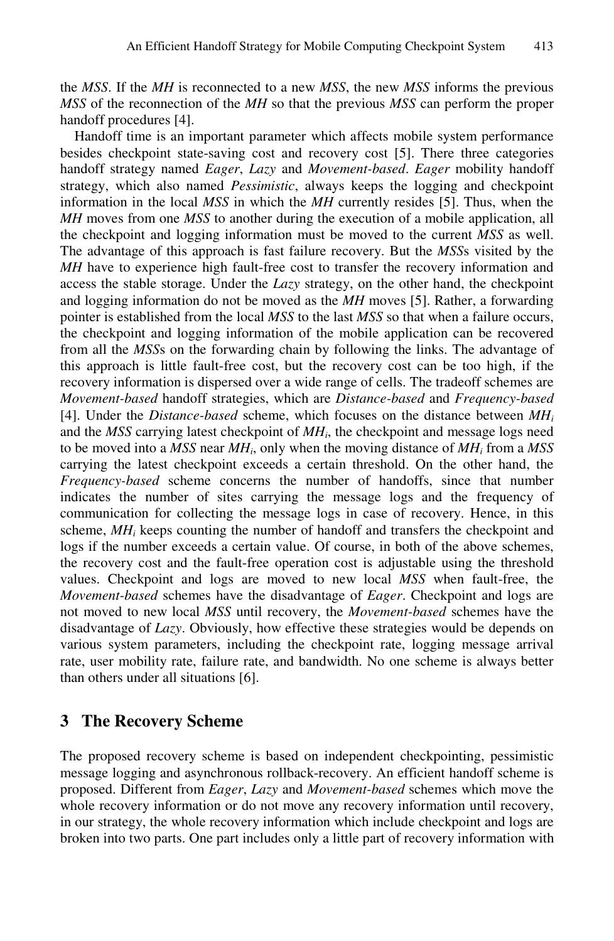the *MSS*. If the *MH* is reconnected to a new *MSS*, the new *MSS* informs the previous *MSS* of the reconnection of the *MH* so that the previous *MSS* can perform the proper handoff procedures [4].

Handoff time is an important parameter which affects mobile system performance besides checkpoint state-saving cost and recovery cost [5]. There three categories handoff strategy named *Eager*, *Lazy* and *Movement-based*. *Eager* mobility handoff strategy, which also named *Pessimistic*, always keeps the logging and checkpoint information in the local *MSS* in which the *MH* currently resides [5]. Thus, when the *MH* moves from one *MSS* to another during the execution of a mobile application, all the checkpoint and logging information must be moved to the current *MSS* as well. The advantage of this approach is fast failure recovery. But the *MSS*s visited by the *MH* have to experience high fault-free cost to transfer the recovery information and access the stable storage. Under the *Lazy* strategy, on the other hand, the checkpoint and logging information do not be moved as the *MH* moves [5]. Rather, a forwarding pointer is established from the local *MSS* to the last *MSS* so that when a failure occurs, the checkpoint and logging information of the mobile application can be recovered from all the *MSS*s on the forwarding chain by following the links. The advantage of this approach is little fault-free cost, but the recovery cost can be too high, if the recovery information is dispersed over a wide range of cells. The tradeoff schemes are *Movement-based* handoff strategies, which are *Distance-based* and *Frequency-based* [4]. Under the *Distance-based* scheme, which focuses on the distance between *MHi* and the *MSS* carrying latest checkpoint of *MHi*, the checkpoint and message logs need to be moved into a *MSS* near *MHi*, only when the moving distance of *MHi* from a *MSS* carrying the latest checkpoint exceeds a certain threshold. On the other hand, the *Frequency-based* scheme concerns the number of handoffs, since that number indicates the number of sites carrying the message logs and the frequency of communication for collecting the message logs in case of recovery. Hence, in this scheme, *MHi* keeps counting the number of handoff and transfers the checkpoint and logs if the number exceeds a certain value. Of course, in both of the above schemes, the recovery cost and the fault-free operation cost is adjustable using the threshold values. Checkpoint and logs are moved to new local *MSS* when fault-free, the *Movement-based* schemes have the disadvantage of *Eager*. Checkpoint and logs are not moved to new local *MSS* until recovery, the *Movement-based* schemes have the disadvantage of *Lazy*. Obviously, how effective these strategies would be depends on various system parameters, including the checkpoint rate, logging message arrival rate, user mobility rate, failure rate, and bandwidth. No one scheme is always better than others under all situations [6].

### **3 The Recovery Scheme**

The proposed recovery scheme is based on independent checkpointing, pessimistic message logging and asynchronous rollback-recovery. An efficient handoff scheme is proposed. Different from *Eager*, *Lazy* and *Movement-based* schemes which move the whole recovery information or do not move any recovery information until recovery, in our strategy, the whole recovery information which include checkpoint and logs are broken into two parts. One part includes only a little part of recovery information with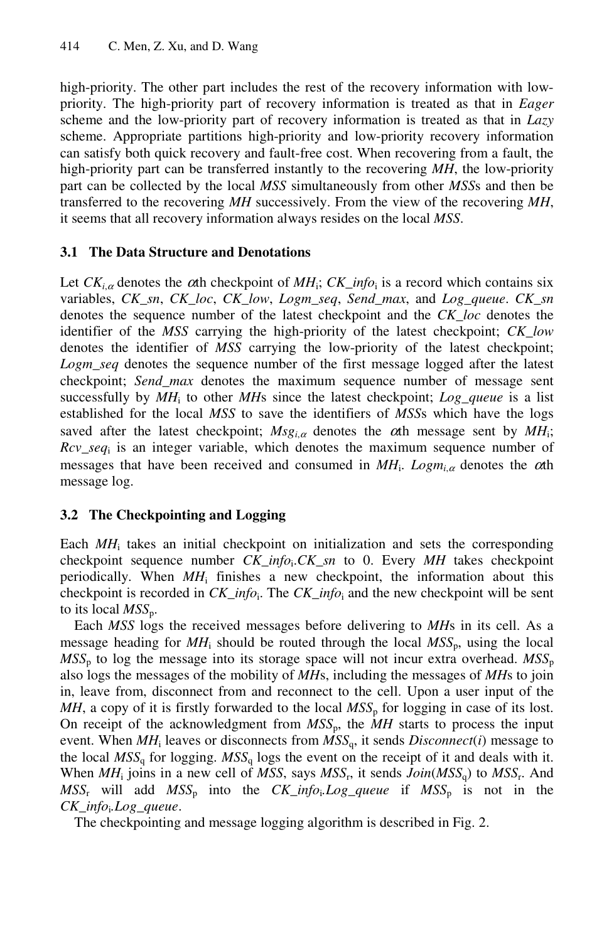high-priority. The other part includes the rest of the recovery information with lowpriority. The high-priority part of recovery information is treated as that in *Eager* scheme and the low-priority part of recovery information is treated as that in *Lazy* scheme. Appropriate partitions high-priority and low-priority recovery information can satisfy both quick recovery and fault-free cost. When recovering from a fault, the high-priority part can be transferred instantly to the recovering *MH*, the low-priority part can be collected by the local *MSS* simultaneously from other *MSS*s and then be transferred to the recovering *MH* successively. From the view of the recovering *MH*, it seems that all recovery information always resides on the local *MSS*.

### **3.1 The Data Structure and Denotations**

Let  $CK_{i,\alpha}$  denotes the  $\alpha$ th checkpoint of  $MH_i$ ;  $CK\_info_i$  is a record which contains six variables, *CK\_sn*, *CK\_loc*, *CK\_low*, *Logm\_seq*, *Send\_max*, and *Log\_queue*. *CK\_sn* denotes the sequence number of the latest checkpoint and the *CK\_loc* denotes the identifier of the *MSS* carrying the high-priority of the latest checkpoint; *CK\_low* denotes the identifier of *MSS* carrying the low-priority of the latest checkpoint; *Logm seq* denotes the sequence number of the first message logged after the latest checkpoint; *Send\_max* denotes the maximum sequence number of message sent successfully by  $MH_i$  to other  $MH$ s since the latest checkpoint;  $Log\_queue$  is a list established for the local *MSS* to save the identifiers of *MSS*s which have the logs saved after the latest checkpoint;  $Msg_{i\alpha}$  denotes the  $\alpha$ th message sent by  $MH_i$ ; *Rcv\_seq*i is an integer variable, which denotes the maximum sequence number of messages that have been received and consumed in  $MH_i$ . *Logm<sub>i,α</sub>* denotes the  $\alpha$ th message log.

### **3.2 The Checkpointing and Logging**

Each  $MH<sub>i</sub>$  takes an initial checkpoint on initialization and sets the corresponding checkpoint sequence number *CK\_info*i.*CK\_sn* to 0. Every *MH* takes checkpoint periodically. When *MH*i finishes a new checkpoint, the information about this checkpoint is recorded in *CK\_info*i. The *CK\_info*i and the new checkpoint will be sent to its local  $MSS_p$ .

Each *MSS* logs the received messages before delivering to *MH*s in its cell. As a message heading for  $MH<sub>i</sub>$  should be routed through the local  $MSS<sub>p</sub>$ , using the local  $MSS_p$  to log the message into its storage space will not incur extra overhead.  $MSS_p$ also logs the messages of the mobility of *MH*s, including the messages of *MH*s to join in, leave from, disconnect from and reconnect to the cell. Upon a user input of the *MH*, a copy of it is firstly forwarded to the local  $MSS_p$  for logging in case of its lost. On receipt of the acknowledgment from  $MSS_p$ , the MH starts to process the input event. When *MH*i leaves or disconnects from *MSS*q, it sends *Disconnect*(*i*) message to the local *MSS*q for logging. *MSS*q logs the event on the receipt of it and deals with it. When *MH*i joins in a new cell of *MSS*, says *MSS*r, it sends *Join*(*MSS*q) to *MSS*r. And  $MSS_r$  will add  $MSS_p$  into the  $CK\_info_i Log\_queue$  if  $MSS_p$  is not in the *CK\_info*i*.Log\_queue*.

The checkpointing and message logging algorithm is described in Fig. 2.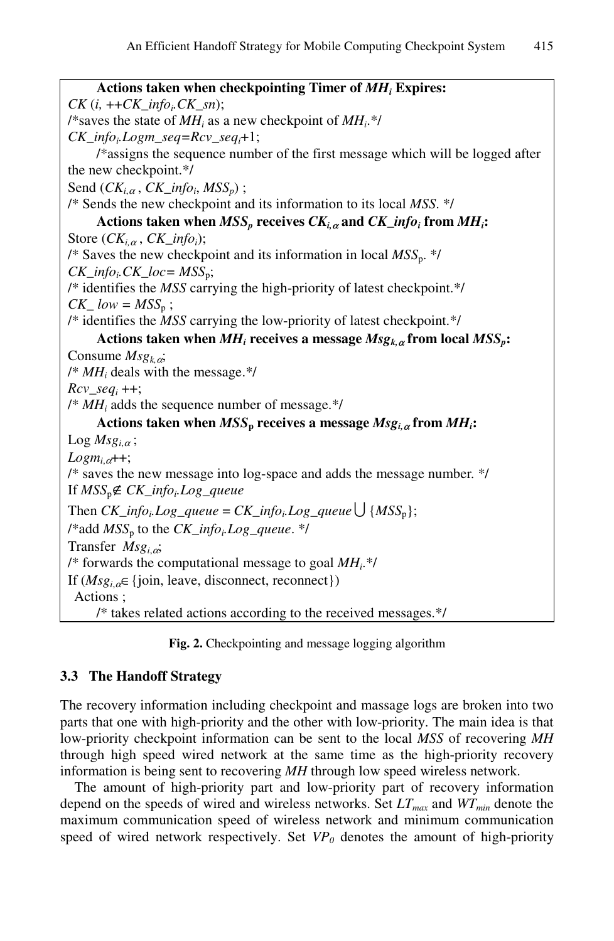**Actions taken when checkpointing Timer of** *MHi* **Expires:**   $CK$  (*i*,  $++CK$  *info<sub>i</sub>*.CK *sn*); /\*saves the state of *MHi* as a new checkpoint of *MHi*.\*/ *CK\_infoi.Logm\_seq=Rcv\_seqi*+1; /\*assigns the sequence number of the first message which will be logged after the new checkpoint.\*/ Send  $(CK_{i,\alpha}, CK\_info_i, MSS_p)$ ; /\* Sends the new checkpoint and its information to its local *MSS*. \*/ Actions taken when  $MSS_p$  receives  $CK_{i,\alpha}$  and  $CK\_info_i$  from  $MH_i$ : Store (*CKi,*α , *CK\_infoi*); /\* Saves the new checkpoint and its information in local  $MSS_p$ . \*/  $CK\_info_i$ . $CK\_loc=MSS_n$ ; /\* identifies the *MSS* carrying the high-priority of latest checkpoint.\*/  $CK\_low = MSS_p$ ; /\* identifies the *MSS* carrying the low-priority of latest checkpoint.\*/ Actions taken when  $MH_i$  receives a message  $Msg_{k,\alpha}$  from local  $MSS_p$ : Consume *Msgk,*α;  $/*MH<sub>i</sub>$  deals with the message.\*/  $Rcv\_seq_i++;$ /\* *MHi* adds the sequence number of message.\*/ Actions taken when  $MSS_p$  receives a message  $Msg_{i,\alpha}$  from  $MH_i$ :  $Log Msg_{i,\alpha}$ ;  $Logm_{i,\alpha}++;$ /\* saves the new message into log-space and adds the message number. \*/ If *MSS*p∉*CK\_infoi.Log\_queue* Then  $CK\_info_i Log\_queue = CK\_info_i Log\_queue \cup \{MSS_n\};$ /\*add  $MSS_p$  to the  $CK\_info_i Log\_queue.$  \*/ Transfer *Msgi*,α; /\* forwards the computational message to goal *MHi*.\*/ If (*Msg<sub>i, α</sub>*∈{join, leave, disconnect, reconnect}) Actions ; /\* takes related actions according to the received messages.\*/

```
Fig. 2. Checkpointing and message logging algorithm
```
#### **3.3 The Handoff Strategy**

The recovery information including checkpoint and massage logs are broken into two parts that one with high-priority and the other with low-priority. The main idea is that low-priority checkpoint information can be sent to the local *MSS* of recovering *MH* through high speed wired network at the same time as the high-priority recovery information is being sent to recovering *MH* through low speed wireless network.

The amount of high-priority part and low-priority part of recovery information depend on the speeds of wired and wireless networks. Set  $LT_{max}$  and  $WT_{min}$  denote the maximum communication speed of wireless network and minimum communication speed of wired network respectively. Set  $VP_0$  denotes the amount of high-priority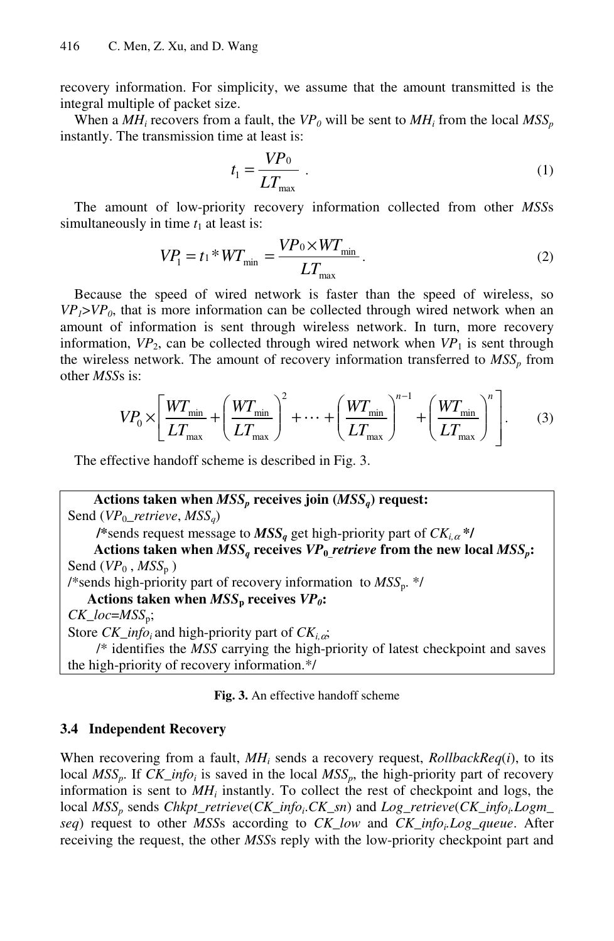recovery information. For simplicity, we assume that the amount transmitted is the integral multiple of packet size.

When a  $MH_i$  recovers from a fault, the  $VP_0$  will be sent to  $MH_i$  from the local  $MSS_p$ instantly. The transmission time at least is:

$$
t_1 = \frac{VP_0}{LT_{\text{max}}} \tag{1}
$$

The amount of low-priority recovery information collected from other *MSS*s simultaneously in time  $t_1$  at least is:

$$
VP_1 = t_1 * WT_{\min} = \frac{VP_0 \times WT_{\min}}{LT_{\max}}.
$$
 (2)

Because the speed of wired network is faster than the speed of wireless, so  $VP<sub>1</sub>$ > $VP<sub>0</sub>$ , that is more information can be collected through wired network when an amount of information is sent through wireless network. In turn, more recovery information,  $VP_2$ , can be collected through wired network when  $VP_1$  is sent through the wireless network. The amount of recovery information transferred to  $MSS_p$  from other *MSS*s is:

$$
VP_0 \times \left[ \frac{WT_{\min}}{LT_{\max}} + \left( \frac{WT_{\min}}{LT_{\max}} \right)^2 + \dots + \left( \frac{WT_{\min}}{LT_{\max}} \right)^{n-1} + \left( \frac{WT_{\min}}{LT_{\max}} \right)^n \right].
$$
 (3)

The effective handoff scheme is described in Fig. 3.

### Actions taken when  $MSS_p$  receives join  $(MSS_q)$  request:

Send (*VP*0*\_retrieve*, *MSSq*)

**/\***sends request message to *MSSq* get high-priority part of *CKi,*<sup>α</sup> **\*/** 

Actions taken when  $MSS_q$  receives  $VP_0$ <sub>*retrieve* from the new local  $MSS_p$ **:**</sub> Send  $(VP_0, MSS_p)$ 

/\*sends high-priority part of recovery information to  $MSS_p$ . \*/

**Actions taken when** *MSS***p receives** *VP0***:** 

 $CK\_loc=MSS_p$ ;

Store *CK\_info<sub>i</sub>* and high-priority part of *CK<sub>i,αi</sub>*;

/\* identifies the *MSS* carrying the high-priority of latest checkpoint and saves the high-priority of recovery information.\*/

**Fig. 3.** An effective handoff scheme

#### **3.4 Independent Recovery**

When recovering from a fault,  $MH_i$  sends a recovery request, *RollbackReq(i)*, to its local *MSS<sub>p</sub>*. If *CK\_info<sub>i</sub>* is saved in the local *MSS<sub>p</sub>*, the high-priority part of recovery information is sent to *MHi* instantly. To collect the rest of checkpoint and logs, the local *MSSp* sends *Chkpt\_retrieve*(*CK\_infoi*.*CK\_sn*) and *Log\_retrieve*(*CK\_infoi.Logm\_ seq*) request to other *MSS*s according to *CK\_low* and *CK\_infoi.Log\_queue*. After receiving the request, the other *MSS*s reply with the low-priority checkpoint part and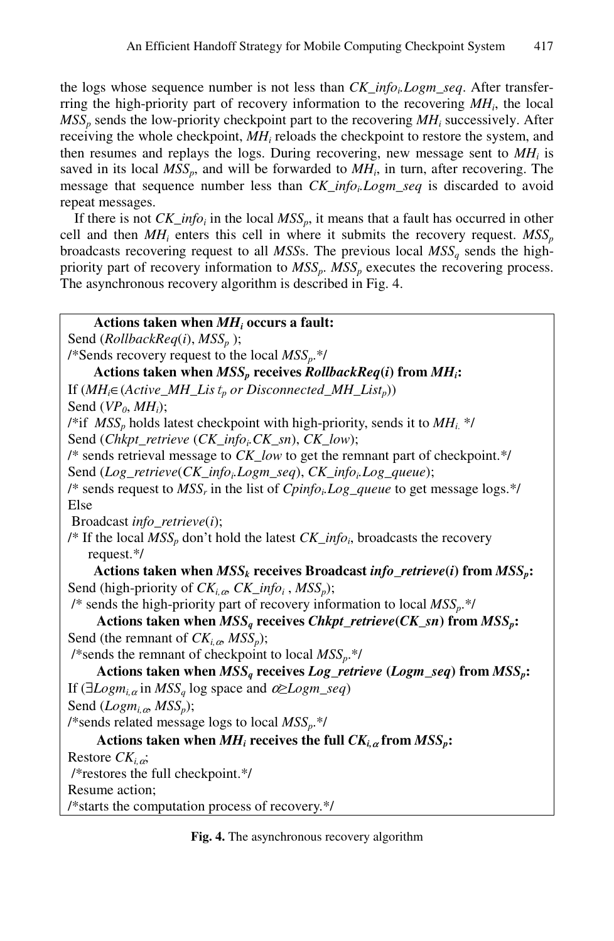the logs whose sequence number is not less than *CK\_infoi.Logm\_seq*. After transferrring the high-priority part of recovery information to the recovering *MHi*, the local  $MSS_p$  sends the low-priority checkpoint part to the recovering  $MH_i$  successively. After receiving the whole checkpoint,  $MH_i$  reloads the checkpoint to restore the system, and then resumes and replays the logs. During recovering, new message sent to *MHi* is saved in its local  $MSS_p$ , and will be forwarded to  $MH_i$ , in turn, after recovering. The message that sequence number less than  $CK\_info_iLogm\_seq$  is discarded to avoid repeat messages.

If there is not  $CK\_info_i$  in the local  $MSS_p$ , it means that a fault has occurred in other cell and then  $MH_i$  enters this cell in where it submits the recovery request.  $MSS_p$ broadcasts recovering request to all *MSSs*. The previous local  $MSS_q$  sends the highpriority part of recovery information to  $MSS_p$ .  $MSS_p$  executes the recovering process. The asynchronous recovery algorithm is described in Fig. 4.

### **Actions taken when** *MHi* **occurs a fault:**  Send (*RollbackReq*(*i*), *MSS<sub>p</sub>*); /\*Sends recovery request to the local *MSSp*.\*/ **Actions taken when** *MSSp* **receives** *RollbackReq***(***i***) from** *MHi***:**  If (*MHi*∈(*Active\_MH\_Lis*t*p or Disconnected\_MH\_Listp*)) Send (*VP*<sub>0</sub>, *MH*<sub>i</sub>); /\*if  $MSS_p$  holds latest checkpoint with high-priority, sends it to  $MH_i$ .\*/ Send (*Chkpt\_retrieve* (*CK\_info<sub>i</sub>.CK\_sn*), *CK\_low*); /\* sends retrieval message to *CK\_low* to get the remnant part of checkpoint.\*/ Send (*Log\_retrieve*(*CK\_infoi.Logm\_seq*), *CK\_infoi.Log\_queue*); /\* sends request to *MSSr* in the list of *Cpinfoi.Log\_queue* to get message logs.\*/ Else Broadcast *info\_retrieve*(*i*); /\* If the local  $MSS_n$  don't hold the latest *CK info<sub>i</sub>*, broadcasts the recovery request.\*/ Actions taken when  $MSS_k$  receives Broadcast *info\_retrieve*(*i*) from  $MSS_n$ : Send (high-priority of *CK<sub>i,α</sub>*, *CK\_info<sub>i</sub>*, *MSS<sub>n</sub>*); /\* sends the high-priority part of recovery information to local *MSSp*.\*/ **Actions taken when** *MSSq* **receives** *Chkpt\_retrieve***(***CK\_sn***) from** *MSSp***:**  Send (the remnant of *CK<sub>i, α</sub>, MSS<sub>n</sub>*); /\*sends the remnant of checkpoint to local *MSSp*.\*/ **Actions taken when** *MSSq* **receives** *Log\_retrieve* **(***Logm\_seq***) from** *MSSp***:**  If (∃*Logmi,*<sup>α</sup> in *MSSq* log space and α≥*Logm\_seq*) Send (*Logmi,*α, *MSSp*); /\*sends related message logs to local *MSSp*.\*/ Actions taken when  $MH_i$  receives the full  $CK_{i,\alpha}$  from  $MSS_p$ **:** Restore *CKi,*α; /\*restores the full checkpoint.\*/ Resume action; /\*starts the computation process of recovery.\*/

**Fig. 4.** The asynchronous recovery algorithm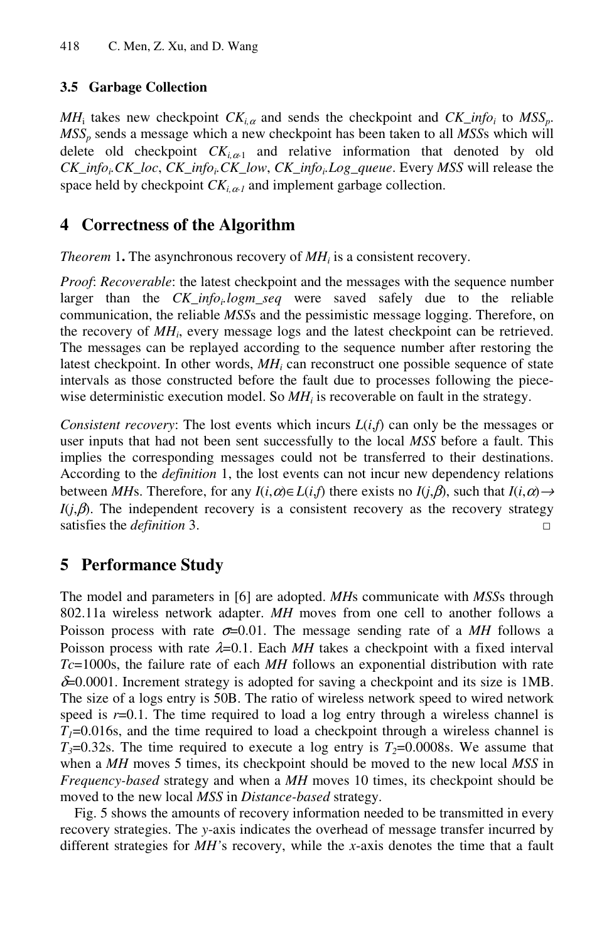### **3.5 Garbage Collection**

*MH*<sub>i</sub> takes new checkpoint  $CK_{i,\alpha}$  and sends the checkpoint and  $CK\_info_i$  to  $MSS_p$ . *MSSp* sends a message which a new checkpoint has been taken to all *MSS*s which will delete old checkpoint  $CK_{i,\alpha+1}$  and relative information that denoted by old *CK\_info<sub>i</sub>.CK\_loc, CK\_info<sub>i</sub>.CK\_low, CK\_info<sub>i</sub>.Log\_queue. Every <i>MSS* will release the space held by checkpoint *CKi,*α*-1* and implement garbage collection.

# **4 Correctness of the Algorithm**

*Theorem* 1. The asynchronous recovery of  $MH_i$  is a consistent recovery.

*Proof*: *Recoverable*: the latest checkpoint and the messages with the sequence number larger than the *CK\_infoi.logm\_seq* were saved safely due to the reliable communication, the reliable *MSS*s and the pessimistic message logging. Therefore, on the recovery of *MHi*, every message logs and the latest checkpoint can be retrieved. The messages can be replayed according to the sequence number after restoring the latest checkpoint. In other words, *MHi* can reconstruct one possible sequence of state intervals as those constructed before the fault due to processes following the piecewise deterministic execution model. So  $MH<sub>i</sub>$  is recoverable on fault in the strategy.

*Consistent recovery:* The lost events which incurs  $L(i, f)$  can only be the messages or user inputs that had not been sent successfully to the local *MSS* before a fault. This implies the corresponding messages could not be transferred to their destinations. According to the *definition* 1, the lost events can not incur new dependency relations between *MH*s. Therefore, for any  $I(i, \alpha) \in L(i,f)$  there exists no  $I(j,\beta)$ , such that  $I(i,\alpha) \rightarrow$  $I(i, \beta)$ . The independent recovery is a consistent recovery as the recovery strategy satisfies the *definition* 3. □

## **5 Performance Study**

The model and parameters in [6] are adopted. *MH*s communicate with *MSS*s through 802.11a wireless network adapter. *MH* moves from one cell to another follows a Poisson process with rate  $\sigma$ =0.01. The message sending rate of a *MH* follows a Poisson process with rate  $\lambda = 0.1$ . Each *MH* takes a checkpoint with a fixed interval *Tc*=1000s, the failure rate of each *MH* follows an exponential distribution with rate  $\delta$ =0.0001. Increment strategy is adopted for saving a checkpoint and its size is 1MB. The size of a logs entry is 50B. The ratio of wireless network speed to wired network speed is  $r=0.1$ . The time required to load a log entry through a wireless channel is  $T_1=0.016$  s, and the time required to load a checkpoint through a wireless channel is  $T_3=0.32$ s. The time required to execute a log entry is  $T_2=0.0008$ s. We assume that when a *MH* moves 5 times, its checkpoint should be moved to the new local *MSS* in *Frequency-based* strategy and when a *MH* moves 10 times, its checkpoint should be moved to the new local *MSS* in *Distance-based* strategy.

Fig. 5 shows the amounts of recovery information needed to be transmitted in every recovery strategies. The *y*-axis indicates the overhead of message transfer incurred by different strategies for *MH'*s recovery, while the *x*-axis denotes the time that a fault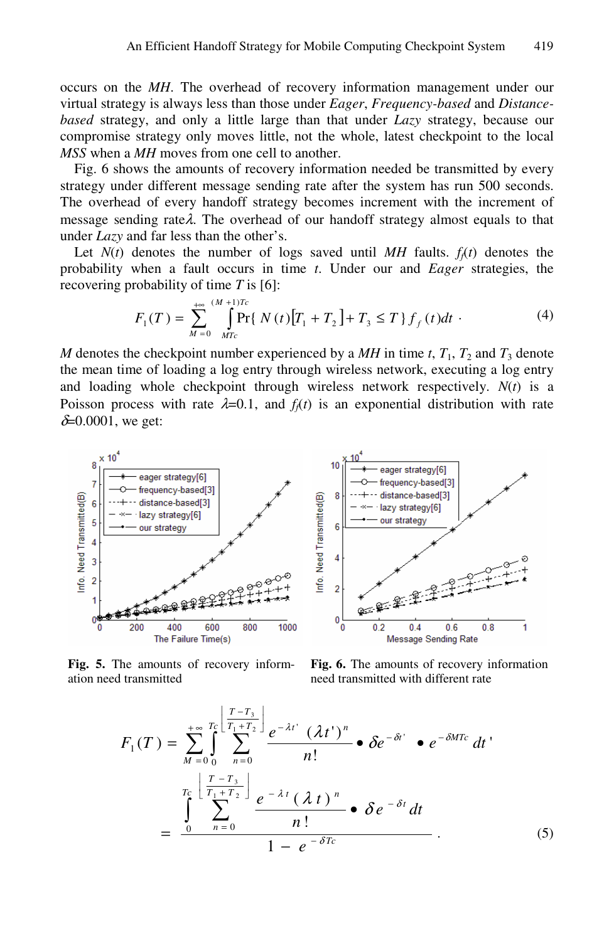occurs on the *MH*. The overhead of recovery information management under our virtual strategy is always less than those under *Eager*, *Frequency-based* and *Distancebased* strategy, and only a little large than that under *Lazy* strategy, because our compromise strategy only moves little, not the whole, latest checkpoint to the local *MSS* when a *MH* moves from one cell to another.

Fig. 6 shows the amounts of recovery information needed be transmitted by every strategy under different message sending rate after the system has run 500 seconds. The overhead of every handoff strategy becomes increment with the increment of message sending rate $\lambda$ . The overhead of our handoff strategy almost equals to that under *Lazy* and far less than the other's.

Let  $N(t)$  denotes the number of logs saved until MH faults.  $f<sub>i</sub>(t)$  denotes the probability when a fault occurs in time *t*. Under our and *Eager* strategies, the recovering probability of time *T* is [6]:

$$
F_1(T) = \sum_{M=0}^{+\infty} \int_{MT_C}^{(M+1)T_C} \Pr\{ N(t) [T_1 + T_2] + T_3 \le T \} f_f(t) dt \tag{4}
$$

*M* denotes the checkpoint number experienced by a  $MH$  in time *t*,  $T_1$ ,  $T_2$  and  $T_3$  denote the mean time of loading a log entry through wireless network, executing a log entry and loading whole checkpoint through wireless network respectively. *N*(*t*) is a Poisson process with rate  $\lambda = 0.1$ , and  $f<sub>i</sub>(t)$  is an exponential distribution with rate  $\&0.0001$ , we get:







**Fig. 6.** The amounts of recovery information need transmitted with different rate

$$
F_1(T) = \sum_{M=0}^{+\infty} \int_{0}^{T_c} \sum_{n=0}^{\left[\frac{T-T_3}{T_1+T_2}\right]} \frac{e^{-\lambda t}}{n!} \left(\lambda t'\right)^n \bullet \delta e^{-\delta t} \bullet e^{-\delta MT_c} dt
$$

$$
= \frac{\int_{0}^{T_c} \sum_{n=0}^{\left[\frac{T-T_3}{T_1+T_2}\right]} \frac{e^{-\lambda t}}{n!} \left(\lambda t\right)^n \bullet \delta e^{-\delta t} dt}{n!}
$$

$$
= \frac{1 - e^{-\delta T_c}}{1 - e^{-\delta T_c}}.
$$
(5)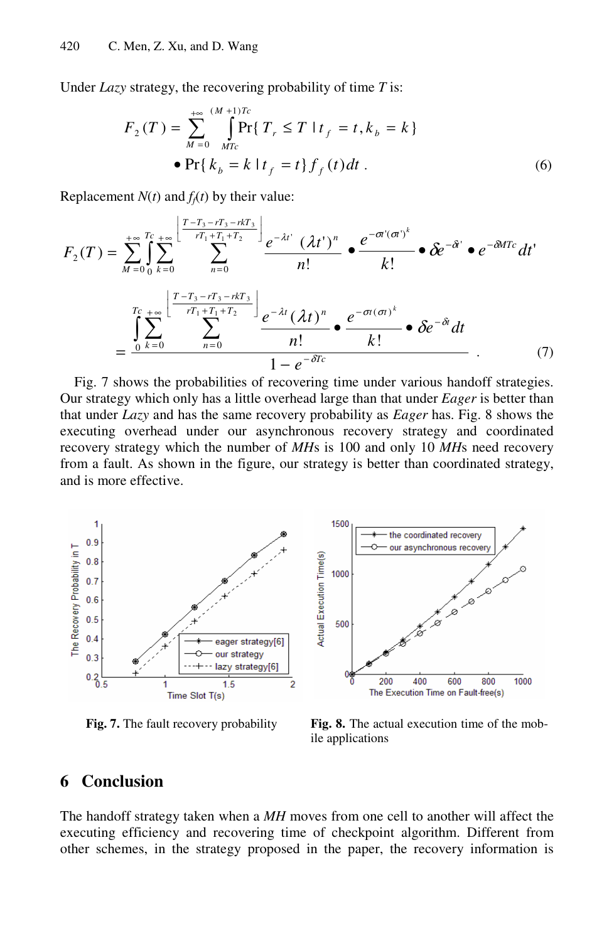Under *Lazy* strategy, the recovering probability of time *T* is:

$$
F_2(T) = \sum_{M=0}^{+\infty} \int_{MTc}^{(M+1)Tc} \Pr\{T_r \le T | t_f = t, k_b = k \}
$$
  
\n•  $\Pr\{k_b = k | t_f = t\} f_f(t) dt$ . (6)

Replacement  $N(t)$  and  $f<sub>i</sub>(t)$  by their value:

$$
F_2(T) = \sum_{M=0}^{+\infty} \int_{0}^{T_c} \sum_{k=0}^{+\infty} \sum_{n=0}^{\left[\frac{T-T_3-rT_3-rkT_3}{rT_1+T_1+T_2}\right]} \frac{e^{-\lambda t}}{n!} \cdot \frac{(\lambda t^{\prime})^n}{k!} \cdot \delta e^{-\delta t} \cdot e^{-\delta t} e^{-\delta t} dt^{\prime}
$$

$$
= \frac{\int_{0}^{T_c} \sum_{k=0}^{+\infty} \sum_{n=0}^{\left[\frac{T-T_3-rT_3-rkT_3}{rT_1+T_1+T_2}\right]} \frac{e^{-\lambda t}}{n!} \cdot \frac{(\lambda t)^n}{k!} \cdot \delta e^{-\delta t} dt}{1 - e^{-\delta T c}} \cdot (7)
$$

Fig. 7 shows the probabilities of recovering time under various handoff strategies. Our strategy which only has a little overhead large than that under *Eager* is better than that under *Lazy* and has the same recovery probability as *Eager* has. Fig. 8 shows the executing overhead under our asynchronous recovery strategy and coordinated recovery strategy which the number of *MH*s is 100 and only 10 *MH*s need recovery from a fault. As shown in the figure, our strategy is better than coordinated strategy, and is more effective.



**Fig. 7.** The fault recovery probability **Fig. 8.** The actual execution time of the mobile applications

1000

### **6 Conclusion**

The handoff strategy taken when a *MH* moves from one cell to another will affect the executing efficiency and recovering time of checkpoint algorithm. Different from other schemes, in the strategy proposed in the paper, the recovery information is